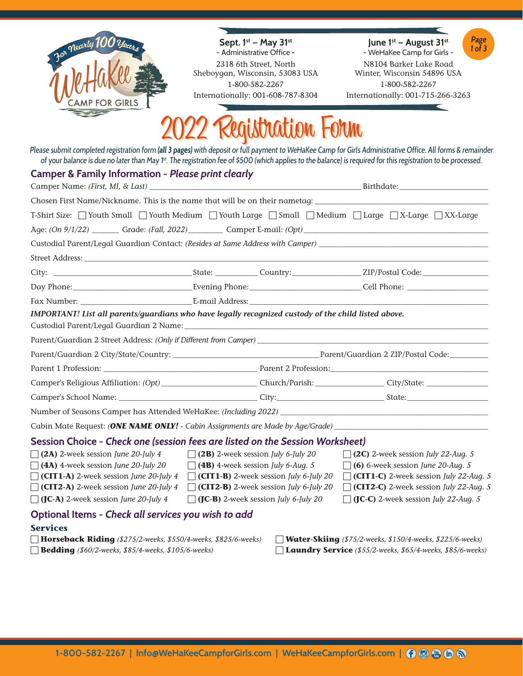

**Sept. 1st — May 31st** - Administrative Office - 2318 6th Street, North Sheboygan, Wisconsin, 53083 USA 1-800-582-2267 Internationally: 001-608-787-8304

**June 1st — August 31st**  - WeHaKee Camp for Girls -



N8104 Barker Lake Road Winter, Wisconsin 54896 USA 1-800-582-2267 Internationally: 001-715-266-3263

 $\blacksquare$ 

## 2022 Registration Form

Please submit completed registration form **(all 3 pages)** with deposit or full payment to WeHaKee Camp for Girls Administrative Office. All forms & remainder of your balance is due no later than May 1<sup>st</sup>. The registration fee of \$500 (which applies to the balance) is required for this registration to be processed.

### **Camper & Family Information -** *Please print clearly*

|                                                                                                                                                                                                                                          |                                                                                                                                                                                                                                               | Birthdate: _______________ |                                                                                                                                                                                                                                        |  |  |  |
|------------------------------------------------------------------------------------------------------------------------------------------------------------------------------------------------------------------------------------------|-----------------------------------------------------------------------------------------------------------------------------------------------------------------------------------------------------------------------------------------------|----------------------------|----------------------------------------------------------------------------------------------------------------------------------------------------------------------------------------------------------------------------------------|--|--|--|
| Chosen First Name/Nickname. This is the name that will be on their nametag:                                                                                                                                                              |                                                                                                                                                                                                                                               |                            |                                                                                                                                                                                                                                        |  |  |  |
| T-Shirt Size: □ Youth Small □ Youth Medium □ Youth Large □ Small □ Medium □ Large □ X-Large □ XX-Large                                                                                                                                   |                                                                                                                                                                                                                                               |                            |                                                                                                                                                                                                                                        |  |  |  |
| Age: (On 9/1/22) ________ Grade: (Fall, 2022) _________ Camper E-mail: (Opt) _________________________________                                                                                                                           |                                                                                                                                                                                                                                               |                            |                                                                                                                                                                                                                                        |  |  |  |
| Custodial Parent/Legal Guardian Contact: (Resides at Same Address with Camper) _______________________________                                                                                                                           |                                                                                                                                                                                                                                               |                            |                                                                                                                                                                                                                                        |  |  |  |
|                                                                                                                                                                                                                                          |                                                                                                                                                                                                                                               |                            |                                                                                                                                                                                                                                        |  |  |  |
|                                                                                                                                                                                                                                          |                                                                                                                                                                                                                                               |                            |                                                                                                                                                                                                                                        |  |  |  |
| Day Phone: Call Phone: Call Phone: Call Phone: Call Phone: Call Phone: Call Phone: Call Phone: Call Phone: Call Phone: Call Phone: Call Phone: Call Phone: Call Phone: Call Phone: Call Phone: Call Phone: Call Phone: Call Ph           |                                                                                                                                                                                                                                               |                            |                                                                                                                                                                                                                                        |  |  |  |
|                                                                                                                                                                                                                                          |                                                                                                                                                                                                                                               |                            |                                                                                                                                                                                                                                        |  |  |  |
| IMPORTANT! List all parents/guardians who have legally recognized custody of the child listed above.                                                                                                                                     |                                                                                                                                                                                                                                               |                            |                                                                                                                                                                                                                                        |  |  |  |
|                                                                                                                                                                                                                                          |                                                                                                                                                                                                                                               |                            |                                                                                                                                                                                                                                        |  |  |  |
|                                                                                                                                                                                                                                          |                                                                                                                                                                                                                                               |                            |                                                                                                                                                                                                                                        |  |  |  |
|                                                                                                                                                                                                                                          |                                                                                                                                                                                                                                               |                            |                                                                                                                                                                                                                                        |  |  |  |
|                                                                                                                                                                                                                                          |                                                                                                                                                                                                                                               |                            |                                                                                                                                                                                                                                        |  |  |  |
|                                                                                                                                                                                                                                          |                                                                                                                                                                                                                                               |                            |                                                                                                                                                                                                                                        |  |  |  |
|                                                                                                                                                                                                                                          |                                                                                                                                                                                                                                               |                            |                                                                                                                                                                                                                                        |  |  |  |
| Cabin Mate Request: <i>(ONE NAME ONLY! - Cabin Assignments are Made by Age/Grade)</i>                                                                                                                                                    |                                                                                                                                                                                                                                               |                            |                                                                                                                                                                                                                                        |  |  |  |
| Session Choice - Check one (session fees are listed on the Session Worksheet)                                                                                                                                                            |                                                                                                                                                                                                                                               |                            |                                                                                                                                                                                                                                        |  |  |  |
| $\Box$ (2A) 2-week session June 20-July 4<br>$\Box$ (4A) 4-week session June 20-July 20<br>$\Box$ (CIT1-A) 2-week session June 20-July 4<br>$\Box$ (CIT2-A) 2-week session June 20-July 4<br>$\Box$ (JC-A) 2-week session June 20-July 4 | $\Box$ (2B) 2-week session July 6-July 20<br>$\Box$ (4B) 4-week session July 6-Aug. 5<br>$\Box$ (CIT1-B) 2-week session <i>July 6-July 20</i><br>$\Box$ (CIT2-B) 2-week session July 6-July 20<br>$\Box$ (JC-B) 2-week session July 6-July 20 |                            | $\Box$ (2C) 2-week session July 22-Aug. 5<br>$\Box$ (6) 6-week session June 20-Aug. 5<br>$\Box$ (CIT1-C) 2-week session July 22-Aug. 5<br>$\Box$ (CIT2-C) 2-week session July 22-Aug. 5<br>$\Box$ (JC-C) 2-week session July 22-Aug. 5 |  |  |  |
| Optional Items - Check all services you wish to add                                                                                                                                                                                      |                                                                                                                                                                                                                                               |                            |                                                                                                                                                                                                                                        |  |  |  |
| <b>Services</b>                                                                                                                                                                                                                          |                                                                                                                                                                                                                                               |                            |                                                                                                                                                                                                                                        |  |  |  |
| Horseback Riding (\$275/2-weeks, \$550/4-weeks, \$825/6-weeks)<br><b>Bedding</b> (\$60/2-weeks, \$85/4-weeks, \$105/6-weeks)                                                                                                             |                                                                                                                                                                                                                                               |                            | Water-Skiing (\$75/2-weeks, \$150/4-weeks, \$225/6-weeks)<br>Laundry Service (\$55/2-weeks, \$65/4-weeks, \$85/6-weeks)                                                                                                                |  |  |  |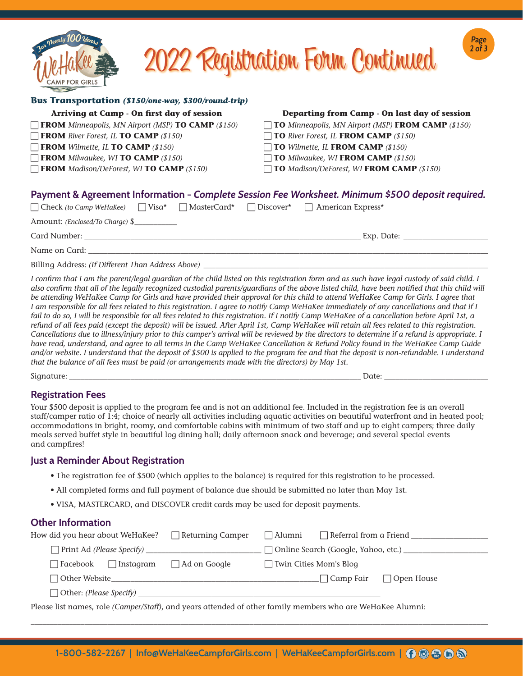

# 2022 Registration Form Continued

**Page 2 of 3**

#### **Bus Transportation** *(\$150/one-way, \$300/round-trip)*

| Arriving at Camp - On first day of session                       | Departing from Camp - On last day of session                                                      |
|------------------------------------------------------------------|---------------------------------------------------------------------------------------------------|
| <b>TROM</b> Minneapolis, MN Airport (MSP) <b>TO CAMP</b> (\$150) | $\Box$ TO Minneapolis, MN Airport (MSP) FROM CAMP (\$150)                                         |
| <b>FROM</b> River Forest, IL <b>TO CAMP</b> (\$150)              | $\Box$ TO River Forest, IL FROM CAMP (\$150)                                                      |
| <b>FROM</b> Wilmette, IL <b>TO CAMP</b> (\$150)                  | $\Box$ TO Wilmette, IL FROM CAMP (\$150)                                                          |
| $\Box$ FROM Milwaukee, WI TO CAMP (\$150)                        | $\Box$ TO Milwaukee, WI FROM CAMP (\$150)                                                         |
| <b>FROM</b> Madison/DeForest, WITO CAMP (\$150)                  | $\Box$ TO Madison/DeForest, WI FROM CAMP (\$150)                                                  |
|                                                                  |                                                                                                   |
|                                                                  | Payment & Agreement Information - Complete Session Fee Worksheet. Minimum \$500 deposit required. |

| $\Box$ Check (to Camp WeHaKee) $\Box$ Visa* $\Box$ MasterCard* $\Box$ Discover* $\Box$ American Express* |  |            |  |  |
|----------------------------------------------------------------------------------------------------------|--|------------|--|--|
| Amount: <i>(Enclosed/To Charge)</i> \$                                                                   |  |            |  |  |
| Card Number:                                                                                             |  | Exp. Date: |  |  |
| Name on Card:                                                                                            |  |            |  |  |
|                                                                                                          |  |            |  |  |

Billing Address: *(If Different Than Address Above)* \_

*I confirm that I am the parent/legal guardian of the child listed on this registration form and as such have legal custody of said child. I also confirm that all of the legally recognized custodial parents/guardians of the above listed child, have been notified that this child will be attending WeHaKee Camp for Girls and have provided their approval for this child to attend WeHaKee Camp for Girls. I agree that I am responsible for all fees related to this registration. I agree to notify Camp WeHaKee immediately of any cancellations and that if I*  fail to do so, I will be responsible for all fees related to this registration. If I notify Camp WeHaKee of a cancellation before April 1st, a *refund of all fees paid (except the deposit) will be issued. After April 1st, Camp WeHaKee will retain all fees related to this registration. Cancellations due to illness/injury prior to this camper's arrival will be reviewed by the directors to determine if a refund is appropriate. I have read, understand, and agree to all terms in the Camp WeHaKee Cancellation & Refund Policy found in the WeHaKee Camp Guide and/or website. I understand that the deposit of \$500 is applied to the program fee and that the deposit is non-refundable. I understand that the balance of all fees must be paid (or arrangements made with the directors) by May 1st.*

Signature: \_\_\_\_\_\_\_\_\_\_\_\_\_\_\_\_\_\_\_\_\_\_\_\_\_\_\_\_\_\_\_\_\_\_\_\_\_\_\_\_\_\_\_\_\_\_\_\_\_\_\_\_\_\_\_\_\_\_\_\_\_\_\_\_\_\_\_\_\_\_\_\_\_\_\_\_ Date: \_\_\_\_\_\_\_\_\_\_\_\_\_\_\_\_\_\_\_\_\_\_\_\_\_\_\_

#### **Registration Fees**

Your \$500 deposit is applied to the program fee and is not an additional fee. Included in the registration fee is an overall staff/camper ratio of 1:4; choice of nearly all activities including aquatic activities on beautiful waterfront and in heated pool; accommodations in bright, roomy, and comfortable cabins with minimum of two staff and up to eight campers; three daily meals served buffet style in beautiful log dining hall; daily afternoon snack and beverage; and several special events and campfires!

#### **Just a Reminder About Registration**

- The registration fee of \$500 (which applies to the balance) is required for this registration to be processed.
- All completed forms and full payment of balance due should be submitted no later than May 1st.
- VISA, MASTERCARD, and DISCOVER credit cards may be used for deposit payments.

#### **Other Information**

| How did you hear about WeHaKee?                                                                       | Returning Camper    | $\Box$ Alumni            |             | Referral from a Friend ___________                     |
|-------------------------------------------------------------------------------------------------------|---------------------|--------------------------|-------------|--------------------------------------------------------|
|                                                                                                       |                     |                          |             | □ Online Search (Google, Yahoo, etc.) ________________ |
| $\Box$ Facebook<br>$\Box$ Instagram                                                                   | $\Box$ Ad on Google | □ Twin Cities Mom's Blog |             |                                                        |
| $\Box$ Other Website                                                                                  |                     |                          | □ Camp Fair | $\Box$ Open House                                      |
| □ Other: (Please Specify) ______________                                                              |                     |                          |             |                                                        |
| Deces list names usle Compa(Ctoff) and weave attended of other family members who are WelleVee Muneri |                     |                          |             |                                                        |

Please list names, role *(Camper/Staff)*, and years attended of other family members who are WeHaKee Alumni:

\_\_\_\_\_\_\_\_\_\_\_\_\_\_\_\_\_\_\_\_\_\_\_\_\_\_\_\_\_\_\_\_\_\_\_\_\_\_\_\_\_\_\_\_\_\_\_\_\_\_\_\_\_\_\_\_\_\_\_\_\_\_\_\_\_\_\_\_\_\_\_\_\_\_\_\_\_\_\_\_\_\_\_\_\_\_\_\_\_\_\_\_\_\_\_\_\_\_\_\_\_\_\_\_\_\_\_\_\_\_\_\_\_\_\_\_\_\_\_